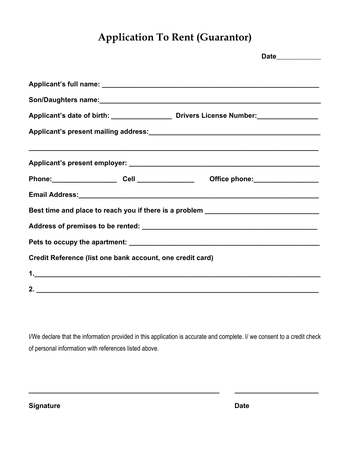## **Application To Rent (Guarantor)**

|                                                                                  | Date____________                                                                  |  |  |  |
|----------------------------------------------------------------------------------|-----------------------------------------------------------------------------------|--|--|--|
|                                                                                  |                                                                                   |  |  |  |
|                                                                                  |                                                                                   |  |  |  |
|                                                                                  |                                                                                   |  |  |  |
|                                                                                  |                                                                                   |  |  |  |
|                                                                                  |                                                                                   |  |  |  |
|                                                                                  | ,我们也不能在这里的人,我们也不能在这里的人,我们也不能在这里的人,我们也不能在这里的人,我们也不能在这里的人,我们也不能在这里的人,我们也不能在这里的人,我们也 |  |  |  |
|                                                                                  |                                                                                   |  |  |  |
|                                                                                  |                                                                                   |  |  |  |
|                                                                                  |                                                                                   |  |  |  |
| Best time and place to reach you if there is a problem _________________________ |                                                                                   |  |  |  |
|                                                                                  |                                                                                   |  |  |  |
|                                                                                  |                                                                                   |  |  |  |
| Credit Reference (list one bank account, one credit card)                        |                                                                                   |  |  |  |
|                                                                                  |                                                                                   |  |  |  |
|                                                                                  |                                                                                   |  |  |  |

I/We declare that the information provided in this application is accurate and complete. I/ we consent to a credit check of personal information with references listed above.

**\_\_\_\_\_\_\_\_\_\_\_\_\_\_\_\_\_\_\_\_\_\_\_\_\_\_\_\_\_\_\_\_\_\_\_\_\_\_\_\_\_\_\_\_\_\_\_\_\_\_ \_\_\_\_\_\_\_\_\_\_\_\_\_\_\_\_\_\_\_\_\_\_**

**Signature Date**